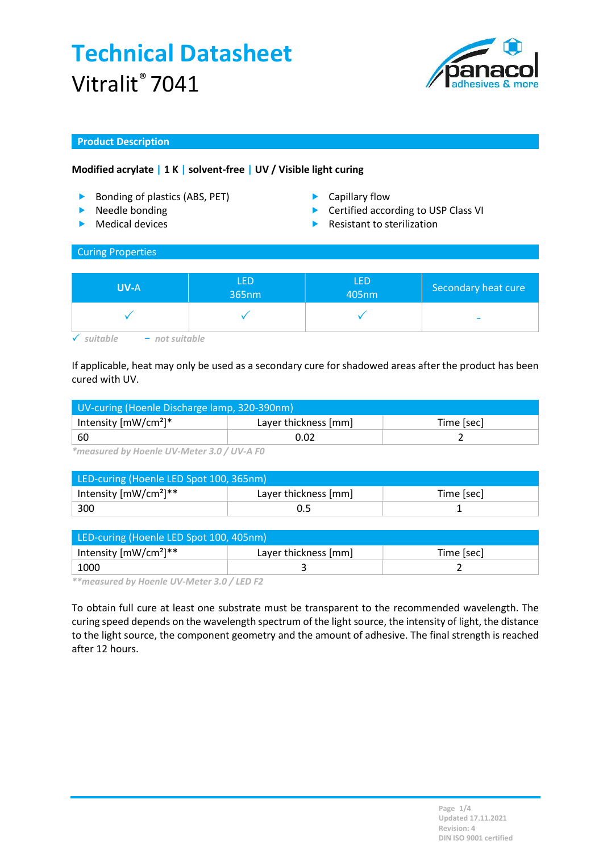

## Product Description

## Modified acrylate | 1 K | solvent-free | UV / Visible light curing

- Bonding of plastics (ABS, PET) Capillary flow
- **Needle bonding**
- $\blacktriangleright$  Medical devices
- 
- ▶ Certified according to USP Class VI
- Resistant to sterilization

#### Curing Properties

| 365nm | 405nm | Secondary heat cure      |
|-------|-------|--------------------------|
|       |       | $\overline{\phantom{a}}$ |

If applicable, heat may only be used as a secondary cure for shadowed areas after the product has been cured with UV.

| UV-curing (Hoenle Discharge lamp, 320-390nm) |                      |            |  |
|----------------------------------------------|----------------------|------------|--|
| Intensity $[mW/cm^2]^*$                      | Layer thickness [mm] | Time [sec] |  |
| -60                                          | 0.02                 |            |  |

\*measured by Hoenle UV-Meter 3.0 / UV-A F0

| LED-curing (Hoenle LED Spot 100, 365nm)   |                      |            |  |
|-------------------------------------------|----------------------|------------|--|
| Intensity $\text{[mW/cm}^2$ <sup>**</sup> | Layer thickness [mm] | Time [sec] |  |
| 300                                       | 0.5                  |            |  |

| LED-curing (Hoenle LED Spot 100, 405nm) |                      |            |  |
|-----------------------------------------|----------------------|------------|--|
| Intensity $[mW/cm^2]^{**}$              | Layer thickness [mm] | Time [sec] |  |
| 1000                                    |                      |            |  |

\*\*measured by Hoenle UV-Meter 3.0 / LED F2

To obtain full cure at least one substrate must be transparent to the recommended wavelength. The curing speed depends on the wavelength spectrum of the light source, the intensity of light, the distance to the light source, the component geometry and the amount of adhesive. The final strength is reached after 12 hours.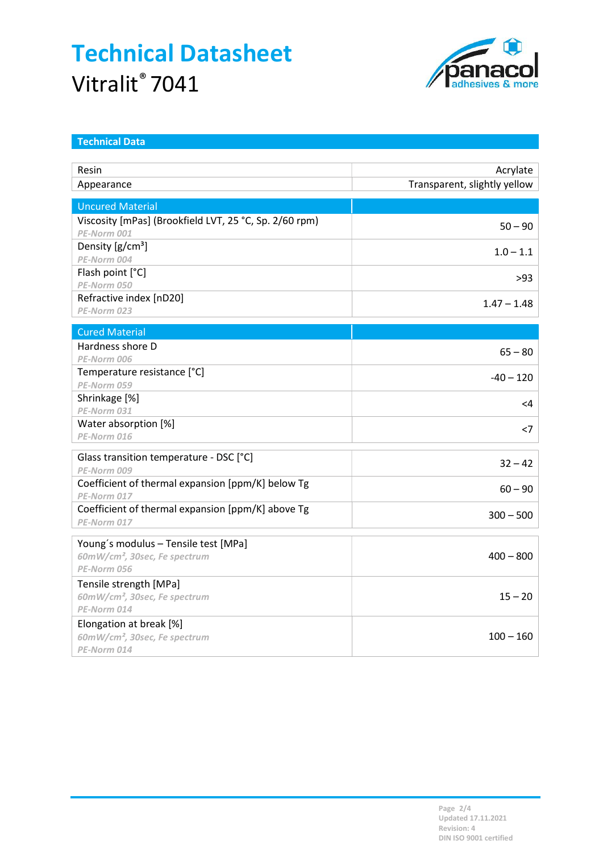

| <b>Technical Data</b>                                  |                              |
|--------------------------------------------------------|------------------------------|
|                                                        |                              |
| Resin                                                  | Acrylate                     |
| Appearance                                             | Transparent, slightly yellow |
| <b>Uncured Material</b>                                |                              |
| Viscosity [mPas] (Brookfield LVT, 25 °C, Sp. 2/60 rpm) |                              |
| PE-Norm 001                                            | $50 - 90$                    |
| Density [g/cm <sup>3</sup> ]                           | $1.0 - 1.1$                  |
| PE-Norm 004                                            |                              |
| Flash point [°C]                                       | >93                          |
| PE-Norm 050                                            |                              |
| Refractive index [nD20]                                | $1.47 - 1.48$                |
| PE-Norm 023                                            |                              |
| <b>Cured Material</b>                                  |                              |
| Hardness shore D                                       | $65 - 80$                    |
| PE-Norm 006                                            |                              |
| Temperature resistance [°C]                            | $-40 - 120$                  |
| PE-Norm 059                                            |                              |
| Shrinkage [%]                                          | <4                           |
| PE-Norm 031                                            |                              |
| Water absorption [%]                                   | $<$ 7                        |
| PE-Norm 016                                            |                              |
| Glass transition temperature - DSC [°C]                |                              |
| PE-Norm 009                                            | $32 - 42$                    |
| Coefficient of thermal expansion [ppm/K] below Tg      | $60 - 90$                    |
| PE-Norm 017                                            |                              |
| Coefficient of thermal expansion [ppm/K] above Tg      | $300 - 500$                  |
| PE-Norm 017                                            |                              |
| Young's modulus - Tensile test [MPa]                   |                              |
| 60mW/cm <sup>2</sup> , 30sec, Fe spectrum              | $400 - 800$                  |
| PE-Norm 056                                            |                              |
| Tensile strength [MPa]                                 |                              |
| 60mW/cm <sup>2</sup> , 30sec, Fe spectrum              | $15 - 20$                    |
| PE-Norm 014                                            |                              |
| Elongation at break [%]                                |                              |
| 60mW/cm <sup>2</sup> , 30sec, Fe spectrum              | $100 - 160$                  |
| PE-Norm 014                                            |                              |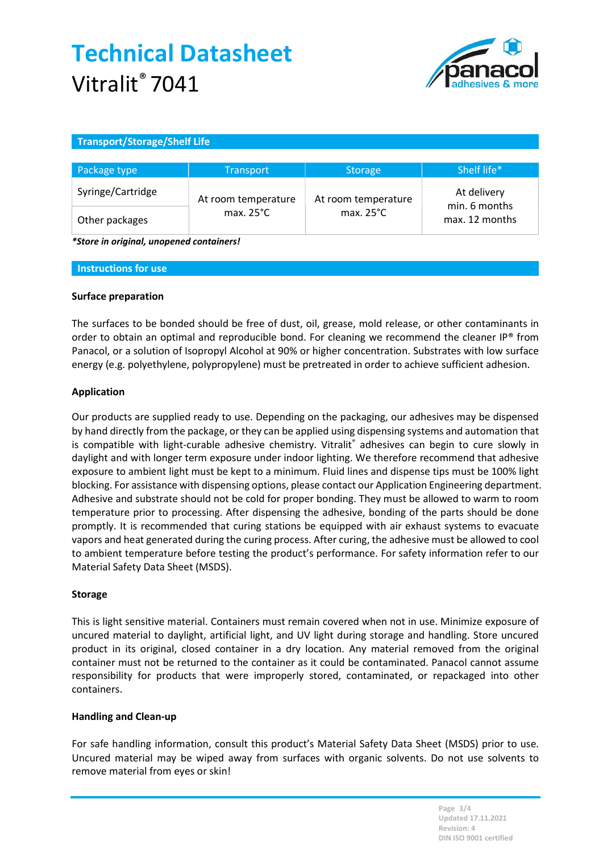

## Transport/Storage/Shelf Life

| Package type      | <b>Transport</b>    | <b>Storage</b>      | Shelf life*                     |
|-------------------|---------------------|---------------------|---------------------------------|
| Syringe/Cartridge | At room temperature | At room temperature | At delivery                     |
| Other packages    | max. $25^{\circ}$ C | max. $25^{\circ}$ C | min. 6 months<br>max. 12 months |

\*Store in original, unopened containers!

#### Instructions for use

### Surface preparation

The surfaces to be bonded should be free of dust, oil, grease, mold release, or other contaminants in order to obtain an optimal and reproducible bond. For cleaning we recommend the cleaner IP® from Panacol, or a solution of Isopropyl Alcohol at 90% or higher concentration. Substrates with low surface energy (e.g. polyethylene, polypropylene) must be pretreated in order to achieve sufficient adhesion.

### Application

Our products are supplied ready to use. Depending on the packaging, our adhesives may be dispensed by hand directly from the package, or they can be applied using dispensing systems and automation that is compatible with light-curable adhesive chemistry. Vitralit® adhesives can begin to cure slowly in daylight and with longer term exposure under indoor lighting. We therefore recommend that adhesive exposure to ambient light must be kept to a minimum. Fluid lines and dispense tips must be 100% light blocking. For assistance with dispensing options, please contact our Application Engineering department. Adhesive and substrate should not be cold for proper bonding. They must be allowed to warm to room temperature prior to processing. After dispensing the adhesive, bonding of the parts should be done promptly. It is recommended that curing stations be equipped with air exhaust systems to evacuate vapors and heat generated during the curing process. After curing, the adhesive must be allowed to cool to ambient temperature before testing the product's performance. For safety information refer to our Material Safety Data Sheet (MSDS).

### Storage

This is light sensitive material. Containers must remain covered when not in use. Minimize exposure of uncured material to daylight, artificial light, and UV light during storage and handling. Store uncured product in its original, closed container in a dry location. Any material removed from the original container must not be returned to the container as it could be contaminated. Panacol cannot assume responsibility for products that were improperly stored, contaminated, or repackaged into other containers.

### Handling and Clean-up

For safe handling information, consult this product's Material Safety Data Sheet (MSDS) prior to use. Uncured material may be wiped away from surfaces with organic solvents. Do not use solvents to remove material from eyes or skin!